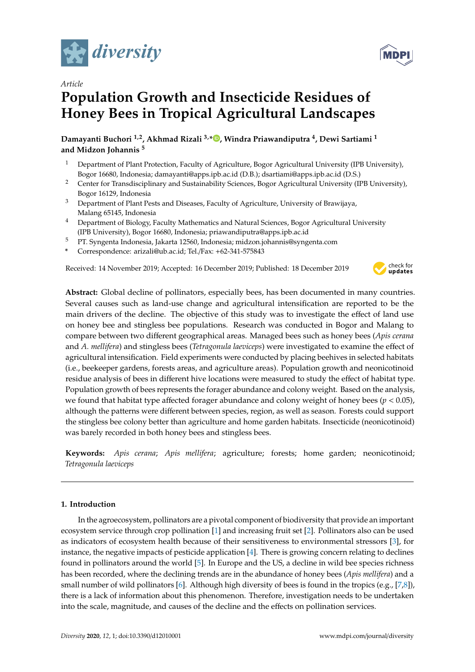

# *Article* **Population Growth and Insecticide Residues of Honey Bees in Tropical Agricultural Landscapes**

**Damayanti Buchori 1,2, Akhmad Rizali 3,\* [,](https://orcid.org/0000-0002-6673-6198) Windra Priawandiputra <sup>4</sup> , Dewi Sartiami <sup>1</sup> and Midzon Johannis <sup>5</sup>**

- <sup>1</sup> Department of Plant Protection, Faculty of Agriculture, Bogor Agricultural University (IPB University), Bogor 16680, Indonesia; damayanti@apps.ipb.ac.id (D.B.); dsartiami@apps.ipb.ac.id (D.S.)
- <sup>2</sup> Center for Transdisciplinary and Sustainability Sciences, Bogor Agricultural University (IPB University), Bogor 16129, Indonesia
- <sup>3</sup> Department of Plant Pests and Diseases, Faculty of Agriculture, University of Brawijaya, Malang 65145, Indonesia
- <sup>4</sup> Department of Biology, Faculty Mathematics and Natural Sciences, Bogor Agricultural University (IPB University), Bogor 16680, Indonesia; priawandiputra@apps.ipb.ac.id
- <sup>5</sup> PT. Syngenta Indonesia, Jakarta 12560, Indonesia; midzon.johannis@syngenta.com
- **\*** Correspondence: arizali@ub.ac.id; Tel./Fax: +62-341-575843

Received: 14 November 2019; Accepted: 16 December 2019; Published: 18 December 2019



**Abstract:** Global decline of pollinators, especially bees, has been documented in many countries. Several causes such as land-use change and agricultural intensification are reported to be the main drivers of the decline. The objective of this study was to investigate the effect of land use on honey bee and stingless bee populations. Research was conducted in Bogor and Malang to compare between two different geographical areas. Managed bees such as honey bees (*Apis cerana* and *A. mellifera*) and stingless bees (*Tetragonula laeviceps*) were investigated to examine the effect of agricultural intensification. Field experiments were conducted by placing beehives in selected habitats (i.e., beekeeper gardens, forests areas, and agriculture areas). Population growth and neonicotinoid residue analysis of bees in different hive locations were measured to study the effect of habitat type. Population growth of bees represents the forager abundance and colony weight. Based on the analysis, we found that habitat type affected forager abundance and colony weight of honey bees (*p* < 0.05), although the patterns were different between species, region, as well as season. Forests could support the stingless bee colony better than agriculture and home garden habitats. Insecticide (neonicotinoid) was barely recorded in both honey bees and stingless bees.

**Keywords:** *Apis cerana*; *Apis mellifera*; agriculture; forests; home garden; neonicotinoid; *Tetragonula laeviceps*

# **1. Introduction**

In the agroecosystem, pollinators are a pivotal component of biodiversity that provide an important ecosystem service through crop pollination [\[1\]](#page-6-0) and increasing fruit set [\[2\]](#page-6-1). Pollinators also can be used as indicators of ecosystem health because of their sensitiveness to environmental stressors [\[3\]](#page-6-2), for instance, the negative impacts of pesticide application [\[4\]](#page-6-3). There is growing concern relating to declines found in pollinators around the world [\[5\]](#page-6-4). In Europe and the US, a decline in wild bee species richness has been recorded, where the declining trends are in the abundance of honey bees (*Apis mellifera*) and a small number of wild pollinators [\[6\]](#page-7-0). Although high diversity of bees is found in the tropics (e.g., [\[7,](#page-7-1)[8\]](#page-7-2)), there is a lack of information about this phenomenon. Therefore, investigation needs to be undertaken into the scale, magnitude, and causes of the decline and the effects on pollination services.

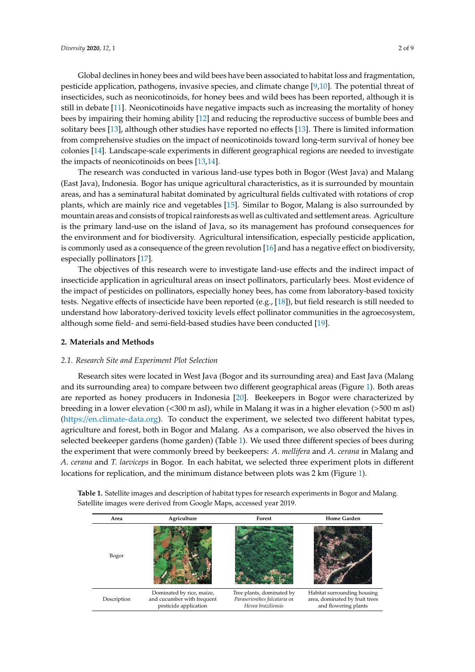Global declines in honey bees and wild bees have been associated to habitat loss and fragmentation, pesticide application, pathogens, invasive species, and climate change [\[9](#page-7-3)[,10\]](#page-7-4). The potential threat of insecticides, such as neonicotinoids, for honey bees and wild bees has been reported, although it is still in debate [\[11\]](#page-7-5). Neonicotinoids have negative impacts such as increasing the mortality of honey bees by impairing their homing ability [\[12\]](#page-7-6) and reducing the reproductive success of bumble bees and solitary bees [\[13\]](#page-7-7), although other studies have reported no effects [\[13\]](#page-7-7). There is limited information from comprehensive studies on the impact of neonicotinoids toward long-term survival of honey bee colonies [\[14\]](#page-7-8). Landscape-scale experiments in different geographical regions are needed to investigate the impacts of neonicotinoids on bees [\[13,](#page-7-7)[14\]](#page-7-8).

The research was conducted in various land-use types both in Bogor (West Java) and Malang (East Java), Indonesia. Bogor has unique agricultural characteristics, as it is surrounded by mountain areas, and has a seminatural habitat dominated by agricultural fields cultivated with rotations of crop plants, which are mainly rice and vegetables [\[15\]](#page-7-9). Similar to Bogor, Malang is also surrounded by mountain areas and consists of tropical rainforests as well as cultivated and settlement areas. Agriculture is the primary land-use on the island of Java, so its management has profound consequences for the environment and for biodiversity. Agricultural intensification, especially pesticide application, is commonly used as a consequence of the green revolution [\[16\]](#page-7-10) and has a negative effect on biodiversity, especially pollinators [\[17\]](#page-7-11). *Diversity* **2019**, *11*, x FOR PEER REVIEW 3 of 9 *Diversity* **2019**, *11*, x FOR PEER REVIEW 3 of 9

The objectives of this research were to investigate land-use effects and the indirect impact of insecticide application in agricultural areas on insect pollinators, particularly bees. Most evidence of the impact of pesticides on pollinators, especially honey bees, has come from laboratory-based toxicity tests. Negative effects of insecticide have been reported (e.g., [\[18\]](#page-7-12)), but field research is still needed to understand how laboratory-derived toxicity levels effect pollinator communities in the agroecosystem, although some field- and semi-field-based studies have been conducted [\[19\]](#page-7-13).

## **2. Materials and Methods**

## *2.1. Research Site and Experiment Plot Selection*

Research sites were located in West Java (Bogor and its surrounding area) and East Java (Malang and its surrounding area) to compare between two different geographical areas (Figure [1\)](#page-2-0). Both areas are reported as honey producers in Indonesia [\[20\]](#page-7-14). Beekeepers in Bogor were characterized by breeding in a lower elevation (<300 m asl), while in Malang it was in a higher elevation (>500 m asl) (https://[en.climate-data.org\)](https://en.climate-data.org). To conduct the experiment, we selected two different habitat types, agriculture and forest, both in Bogor and Malang. As a comparison, we also observed the hives in selected beekeeper gardens (home garden) (Table [1\)](#page-2-1). We used three different species of bees during the experiment that were commonly breed by beekeepers: *A. mellifera* and *A. cerana* in Malang and A. cerana and T. laeviceps in Bogor. In each habitat, we selected three experiment plots in different locations for replication, and the minimum distance between plots was 2 km (Figure [1\)](#page-2-0). numbers after the habitat code indicates plot number. However,  $\mathbf{H}$ and the minimum distance between plots was 2 km (Figur  $h_{\text{max}}$ the minimum distance between plats was  $2 \text{ km}$  (Figure 1). numbers after the habitat code indicates plot numbers  $\mathbf{H}$  is a symbol indicate symbol indicates  $\mathbf{H}$ 

| Area        | Agriculture                                                                      | Forest                                                                          | <b>Home Garden</b>                                                                    |
|-------------|----------------------------------------------------------------------------------|---------------------------------------------------------------------------------|---------------------------------------------------------------------------------------|
| Bogor       |                                                                                  |                                                                                 |                                                                                       |
| Description | Dominated by rice, maize,<br>and cucumber with frequent<br>pesticide application | Tree plants, dominated by<br>Paraserienthes falcataria or<br>Hevea braziliensis | Habitat surrounding housing<br>area, dominated by fruit trees<br>and flowering plants |

Table 1. Satellite images and description of habitat types for research experiments in Bogor and Malang. Satellite images were derived from Google Maps, accessed year 2019.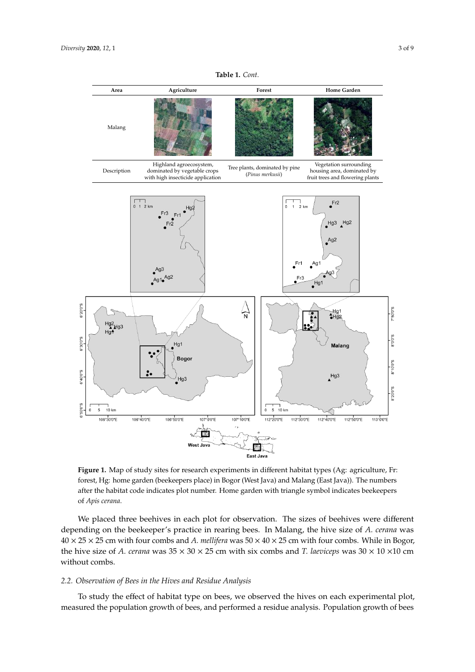<span id="page-2-1"></span><span id="page-2-0"></span>

**Table 1.** *Cont.*

**Figure 1.** Map of study sites for research experiments in different habitat types (Ag: agriculture, Fr: **Figure 1.** Map of study sites for research experiments in different habitat types (Ag: agriculture, Fr: forest, Hg: home garden (beekeepers place) in Bogor (West Java) and Malang (East Java)). The forest, Hg: home garden (beekeepers place) in Bogor (West Java) and Malang (East Java)). The numbers after the habitat code indicates plot number. Home garden with triangle symbol indicates beekeepers beekeepers of *Apis cerana*. of *Apis cerana*.

We placed three beehives in each plot for observation. The sizes of beehives were different depending on the beekeeper's practice in rearing bees. In Malang, the hive size of *A. cerana* was the hive size of *A. cerana* was  $35 \times 30 \times 25$  cm with six combs and *T. laeviceps* was  $30 \times 10 \times 10$  cm 40 × 25 × 25 cm with four combs and *A. mellifera* was 50 × 40 × 25 cm with four combs. While in Bogor, without combs.

# *2.2. Observation of Bees in the Hives and Residue Analysis*

To study the effect of habitat type on bees, we observed the hives on each experimental plot, measured the population growth of bees, and performed a residue analysis. Population growth of bees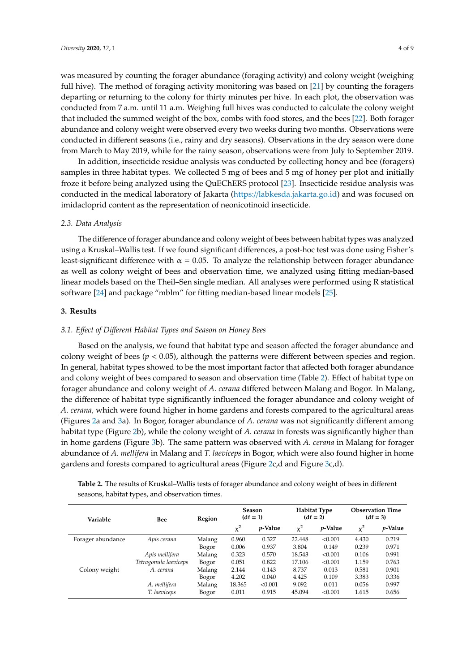was measured by counting the forager abundance (foraging activity) and colony weight (weighing

full hive). The method of foraging activity monitoring was based on [\[21\]](#page-7-15) by counting the foragers departing or returning to the colony for thirty minutes per hive. In each plot, the observation was conducted from 7 a.m. until 11 a.m. Weighing full hives was conducted to calculate the colony weight that included the summed weight of the box, combs with food stores, and the bees [\[22\]](#page-7-16). Both forager abundance and colony weight were observed every two weeks during two months. Observations were conducted in different seasons (i.e., rainy and dry seasons). Observations in the dry season were done from March to May 2019, while for the rainy season, observations were from July to September 2019.

In addition, insecticide residue analysis was conducted by collecting honey and bee (foragers) samples in three habitat types. We collected 5 mg of bees and 5 mg of honey per plot and initially froze it before being analyzed using the QuEChERS protocol [\[23\]](#page-7-17). Insecticide residue analysis was conducted in the medical laboratory of Jakarta (https://[labkesda.jakarta.go.id\)](https://labkesda.jakarta.go.id) and was focused on imidacloprid content as the representation of neonicotinoid insecticide.

## *2.3. Data Analysis*

The difference of forager abundance and colony weight of bees between habitat types was analyzed using a Kruskal–Wallis test. If we found significant differences, a post-hoc test was done using Fisher's least-significant difference with  $\alpha = 0.05$ . To analyze the relationship between forager abundance as well as colony weight of bees and observation time, we analyzed using fitting median-based linear models based on the Theil–Sen single median. All analyses were performed using R statistical software [\[24\]](#page-7-18) and package "mblm" for fitting median-based linear models [\[25\]](#page-7-19).

# **3. Results**

### *3.1. E*ff*ect of Di*ff*erent Habitat Types and Season on Honey Bees*

Based on the analysis, we found that habitat type and season affected the forager abundance and colony weight of bees (*p* < 0.05), although the patterns were different between species and region. In general, habitat types showed to be the most important factor that affected both forager abundance and colony weight of bees compared to season and observation time (Table [2\)](#page-3-0). Effect of habitat type on forager abundance and colony weight of *A. cerana* differed between Malang and Bogor. In Malang, the difference of habitat type significantly influenced the forager abundance and colony weight of *A. cerana,* which were found higher in home gardens and forests compared to the agricultural areas (Figures [2a](#page-4-0) and [3a](#page-4-1)). In Bogor, forager abundance of *A. cerana* was not significantly different among habitat type (Figure [2b](#page-4-0)), while the colony weight of *A. cerana* in forests was significantly higher than in home gardens (Figure [3b](#page-4-1)). The same pattern was observed with *A. cerana* in Malang for forager abundance of *A. mellifera* in Malang and *T. laeviceps* in Bogor, which were also found higher in home gardens and forests compared to agricultural areas (Figure [2c](#page-4-0),d and Figure [3c](#page-4-1),d).

<span id="page-3-0"></span>**Table 2.** The results of Kruskal–Wallis tests of forager abundance and colony weight of bees in different seasons, habitat types, and observation times.

| Variable          | Bee                   | Region | <b>Season</b><br>$(df = 1)$ |                 | <b>Habitat Type</b><br>$(df = 2)$ |                 | <b>Observation Time</b><br>$(df = 3)$ |                 |
|-------------------|-----------------------|--------|-----------------------------|-----------------|-----------------------------------|-----------------|---------------------------------------|-----------------|
|                   |                       |        | $\chi^2$                    | <i>p</i> -Value | $\chi^2$                          | <i>p</i> -Value | $\chi^2$                              | <i>p</i> -Value |
| Forager abundance | Apis cerana           | Malang | 0.960                       | 0.327           | 22.448                            | < 0.001         | 4.430                                 | 0.219           |
|                   |                       | Bogor  | 0.006                       | 0.937           | 3.804                             | 0.149           | 0.239                                 | 0.971           |
|                   | Apis mellifera        | Malang | 0.323                       | 0.570           | 18.543                            | < 0.001         | 0.106                                 | 0.991           |
|                   | Tetragonula laeviceps | Bogor  | 0.051                       | 0.822           | 17.106                            | < 0.001         | 1.159                                 | 0.763           |
| Colony weight     | A. cerana             | Malang | 2.144                       | 0.143           | 8.737                             | 0.013           | 0.581                                 | 0.901           |
|                   |                       | Bogor  | 4.202                       | 0.040           | 4.425                             | 0.109           | 3.383                                 | 0.336           |
|                   | A. mellifera          | Malang | 18.365                      | < 0.001         | 9.092                             | 0.011           | 0.056                                 | 0.997           |
|                   | T. laeviceps          | Bogor  | 0.011                       | 0.915           | 45.094                            | < 0.001         | 1.615                                 | 0.656           |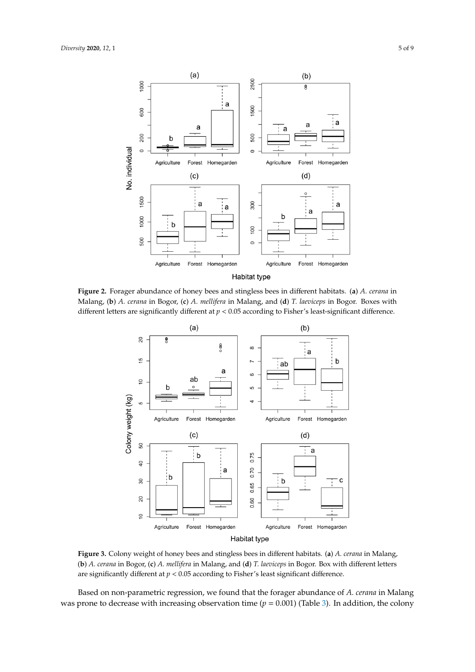<span id="page-4-0"></span>

<span id="page-4-1"></span>Malang, (b) A. cerana in Bogor, (c) A. mellifera in Malang, and (d) T. laeviceps in Bogor. Boxes with Malang, (**b**) *A. cerana* in Bogor, (**c**) *A. mellifera* in Malang, and (**d**) *T. laeviceps* in Bogor. Boxes with different letters are significantly different at  $p < 0.05$  according to Fisher's least-significant difference. Figure 2. Forager abundance of honey bees and stingless bees in different habitats. (a) A. cerana in



**Figure 3.** Colony weight of honey bees and stingless bees in different habitats. (**a**) *A. cerana* in (b) A. cerana in Bogor, (c) A. mellifera in Malang, and (d) T. laeviceps in Bogor. Box with different letters Malang, (**b**) *A. cerana* in Bogor, (**c**) *A. mellifera* in Malang, and (**d**) *T. laeviceps* in Bogor. Box with are significantly different at  $p < 0.05$  according to Fisher's least significant difference. **Figure 3.** Colony weight of honey bees and stingless bees in different habitats. (**a**) *A. cerana* in Malang,

Based on non-parametric regression, we found that the forager abundance of A. cerana in Malang was prone to decrease with increasing observation time  $(p = 0.001)$  (Table [3\)](#page-5-0). In addition, the colony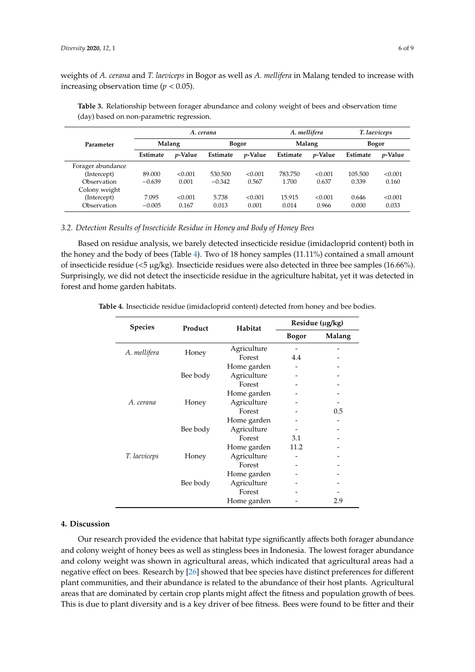weights of *A. cerana* and *T. laeviceps* in Bogor as well as *A. mellifera* in Malang tended to increase with increasing observation time ( $p < 0.05$ ).

|                   | A. cerana |                 |              |                 | A. mellifera |                 | T. laeviceps |                 |
|-------------------|-----------|-----------------|--------------|-----------------|--------------|-----------------|--------------|-----------------|
| Parameter         | Malang    |                 | <b>Bogor</b> |                 | Malang       |                 | <b>Bogor</b> |                 |
|                   | Estimate  | <i>p</i> -Value | Estimate     | <i>v</i> -Value | Estimate     | <i>p</i> -Value | Estimate     | <i>p</i> -Value |
| Forager abundance |           |                 |              |                 |              |                 |              |                 |
| (Intercept)       | 89,000    | < 0.001         | 530,500      | < 0.001         | 783.750      | < 0.001         | 105.500      | < 0.001         |
| Observation       | $-0.639$  | 0.001           | $-0.342$     | 0.567           | 1.700        | 0.637           | 0.339        | 0.160           |
| Colony weight     |           |                 |              |                 |              |                 |              |                 |
| (Intercept)       | 7.095     | < 0.001         | 5.738        | < 0.001         | 15.915       | < 0.001         | 0.646        | < 0.001         |
| Observation       | $-0.005$  | 0.167           | 0.013        | 0.001           | 0.014        | 0.966           | 0.000        | 0.033           |

<span id="page-5-0"></span>**Table 3.** Relationship between forager abundance and colony weight of bees and observation time (day) based on non-parametric regression.

# *3.2. Detection Results of Insecticide Residue in Honey and Body of Honey Bees*

Based on residue analysis, we barely detected insecticide residue (imidacloprid content) both in the honey and the body of bees (Table [4\)](#page-5-1). Two of 18 honey samples (11.11%) contained a small amount of insecticide residue (<5 µg/kg). Insecticide residues were also detected in three bee samples (16.66%). Surprisingly, we did not detect the insecticide residue in the agriculture habitat, yet it was detected in forest and home garden habitats.

<span id="page-5-1"></span>

| Table 4. Insecticide residue (imidacloprid content) detected from honey and bee bodies. |  |  |
|-----------------------------------------------------------------------------------------|--|--|
|-----------------------------------------------------------------------------------------|--|--|

| <b>Species</b> | Product  | Habitat     | Residue (µg/kg) |        |  |  |
|----------------|----------|-------------|-----------------|--------|--|--|
|                |          |             | <b>Bogor</b>    | Malang |  |  |
|                |          | Agriculture |                 |        |  |  |
| A. mellifera   | Honey    | Forest      | 4.4             |        |  |  |
|                |          | Home garden |                 |        |  |  |
|                | Bee body | Agriculture |                 |        |  |  |
|                |          | Forest      |                 |        |  |  |
|                |          | Home garden |                 |        |  |  |
| A. cerana      | Honey    | Agriculture |                 |        |  |  |
|                |          | Forest      |                 | 0.5    |  |  |
|                |          | Home garden |                 |        |  |  |
|                | Bee body | Agriculture |                 |        |  |  |
|                |          | Forest      | 3.1             |        |  |  |
|                |          | Home garden | 11.2            |        |  |  |
| T. laeviceps   | Honey    | Agriculture |                 |        |  |  |
|                |          | Forest      |                 |        |  |  |
|                |          | Home garden |                 |        |  |  |
|                | Bee body | Agriculture |                 |        |  |  |
|                |          | Forest      |                 |        |  |  |
|                |          | Home garden |                 | 2.9    |  |  |

### **4. Discussion**

Our research provided the evidence that habitat type significantly affects both forager abundance and colony weight of honey bees as well as stingless bees in Indonesia. The lowest forager abundance and colony weight was shown in agricultural areas, which indicated that agricultural areas had a negative effect on bees. Research by [\[26\]](#page-7-20) showed that bee species have distinct preferences for different plant communities, and their abundance is related to the abundance of their host plants. Agricultural areas that are dominated by certain crop plants might affect the fitness and population growth of bees. This is due to plant diversity and is a key driver of bee fitness. Bees were found to be fitter and their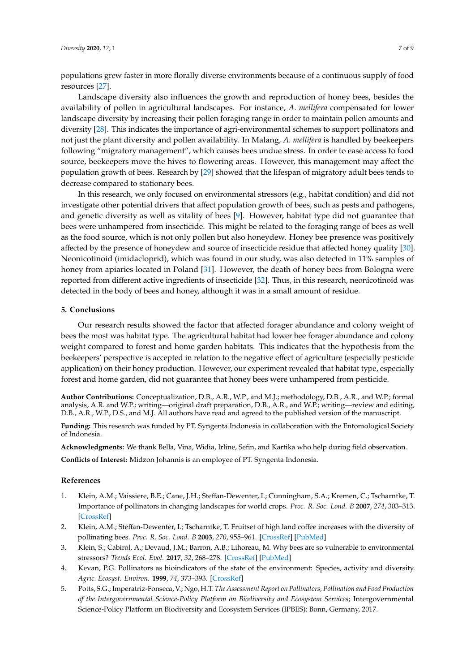populations grew faster in more florally diverse environments because of a continuous supply of food resources [\[27\]](#page-7-21).

Landscape diversity also influences the growth and reproduction of honey bees, besides the availability of pollen in agricultural landscapes. For instance, *A. mellifera* compensated for lower landscape diversity by increasing their pollen foraging range in order to maintain pollen amounts and diversity [\[28\]](#page-8-0). This indicates the importance of agri-environmental schemes to support pollinators and not just the plant diversity and pollen availability. In Malang, *A. mellifera* is handled by beekeepers following "migratory management", which causes bees undue stress. In order to ease access to food source, beekeepers move the hives to flowering areas. However, this management may affect the population growth of bees. Research by [\[29\]](#page-8-1) showed that the lifespan of migratory adult bees tends to decrease compared to stationary bees.

In this research, we only focused on environmental stressors (e.g., habitat condition) and did not investigate other potential drivers that affect population growth of bees, such as pests and pathogens, and genetic diversity as well as vitality of bees [\[9\]](#page-7-3). However, habitat type did not guarantee that bees were unhampered from insecticide. This might be related to the foraging range of bees as well as the food source, which is not only pollen but also honeydew. Honey bee presence was positively affected by the presence of honeydew and source of insecticide residue that affected honey quality [\[30\]](#page-8-2). Neonicotinoid (imidacloprid), which was found in our study, was also detected in 11% samples of honey from apiaries located in Poland [\[31\]](#page-8-3). However, the death of honey bees from Bologna were reported from different active ingredients of insecticide [\[32\]](#page-8-4). Thus, in this research, neonicotinoid was detected in the body of bees and honey, although it was in a small amount of residue.

# **5. Conclusions**

Our research results showed the factor that affected forager abundance and colony weight of bees the most was habitat type. The agricultural habitat had lower bee forager abundance and colony weight compared to forest and home garden habitats. This indicates that the hypothesis from the beekeepers' perspective is accepted in relation to the negative effect of agriculture (especially pesticide application) on their honey production. However, our experiment revealed that habitat type, especially forest and home garden, did not guarantee that honey bees were unhampered from pesticide.

**Author Contributions:** Conceptualization, D.B., A.R., W.P., and M.J.; methodology, D.B., A.R., and W.P.; formal analysis, A.R. and W.P.; writing—original draft preparation, D.B., A.R., and W.P.; writing—review and editing, D.B., A.R., W.P., D.S., and M.J. All authors have read and agreed to the published version of the manuscript.

**Funding:** This research was funded by PT. Syngenta Indonesia in collaboration with the Entomological Society of Indonesia.

**Acknowledgments:** We thank Bella, Vina, Widia, Irline, Sefin, and Kartika who help during field observation.

**Conflicts of Interest:** Midzon Johannis is an employee of PT. Syngenta Indonesia.

#### **References**

- <span id="page-6-0"></span>1. Klein, A.M.; Vaissiere, B.E.; Cane, J.H.; Steffan-Dewenter, I.; Cunningham, S.A.; Kremen, C.; Tscharntke, T. Importance of pollinators in changing landscapes for world crops. *Proc. R. Soc. Lond. B* **2007**, *274*, 303–313. [\[CrossRef\]](http://dx.doi.org/10.1098/rspb.2006.3721)
- <span id="page-6-1"></span>2. Klein, A.M.; Steffan-Dewenter, I.; Tscharntke, T. Fruitset of high land coffee increases with the diversity of pollinating bees. *Proc. R. Soc. Lond. B* **2003**, *270*, 955–961. [\[CrossRef\]](http://dx.doi.org/10.1098/rspb.2002.2306) [\[PubMed\]](http://www.ncbi.nlm.nih.gov/pubmed/12803911)
- <span id="page-6-2"></span>3. Klein, S.; Cabirol, A.; Devaud, J.M.; Barron, A.B.; Lihoreau, M. Why bees are so vulnerable to environmental stressors? *Trends Ecol. Evol.* **2017**, *32*, 268–278. [\[CrossRef\]](http://dx.doi.org/10.1016/j.tree.2016.12.009) [\[PubMed\]](http://www.ncbi.nlm.nih.gov/pubmed/28111032)
- <span id="page-6-3"></span>4. Kevan, P.G. Pollinators as bioindicators of the state of the environment: Species, activity and diversity. *Agric. Ecosyst. Environ.* **1999**, *74*, 373–393. [\[CrossRef\]](http://dx.doi.org/10.1016/S0167-8809(99)00044-4)
- <span id="page-6-4"></span>5. Potts, S.G.; Imperatriz-Fonseca, V.; Ngo, H.T. *The Assessment Report on Pollinators, Pollination and Food Production of the Intergovernmental Science-Policy Platform on Biodiversity and Ecosystem Services*; Intergovernmental Science-Policy Platform on Biodiversity and Ecosystem Services (IPBES): Bonn, Germany, 2017.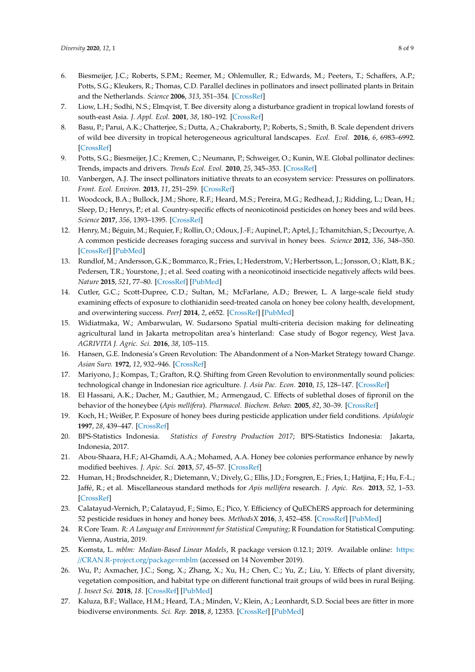- <span id="page-7-0"></span>6. Biesmeijer, J.C.; Roberts, S.P.M.; Reemer, M.; Ohlemuller, R.; Edwards, M.; Peeters, T.; Schaffers, A.P.; Potts, S.G.; Kleukers, R.; Thomas, C.D. Parallel declines in pollinators and insect pollinated plants in Britain and the Netherlands. *Science* **2006**, *313*, 351–354. [\[CrossRef\]](http://dx.doi.org/10.1126/science.1127863)
- <span id="page-7-1"></span>7. Liow, L.H.; Sodhi, N.S.; Elmqvist, T. Bee diversity along a disturbance gradient in tropical lowland forests of south-east Asia. *J. Appl. Ecol.* **2001**, *38*, 180–192. [\[CrossRef\]](http://dx.doi.org/10.1046/j.1365-2664.2001.00582.x)
- <span id="page-7-2"></span>8. Basu, P.; Parui, A.K.; Chatterjee, S.; Dutta, A.; Chakraborty, P.; Roberts, S.; Smith, B. Scale dependent drivers of wild bee diversity in tropical heterogeneous agricultural landscapes. *Ecol. Evol.* **2016**, *6*, 6983–6992. [\[CrossRef\]](http://dx.doi.org/10.1002/ece3.2360)
- <span id="page-7-3"></span>9. Potts, S.G.; Biesmeijer, J.C.; Kremen, C.; Neumann, P.; Schweiger, O.; Kunin, W.E. Global pollinator declines: Trends, impacts and drivers. *Trends Ecol. Evol.* **2010**, *25*, 345–353. [\[CrossRef\]](http://dx.doi.org/10.1016/j.tree.2010.01.007)
- <span id="page-7-4"></span>10. Vanbergen, A.J. The insect pollinators initiative threats to an ecosystem service: Pressures on pollinators. *Front. Ecol. Environ.* **2013**, *11*, 251–259. [\[CrossRef\]](http://dx.doi.org/10.1890/120126)
- <span id="page-7-5"></span>11. Woodcock, B.A.; Bullock, J.M.; Shore, R.F.; Heard, M.S.; Pereira, M.G.; Redhead, J.; Ridding, L.; Dean, H.; Sleep, D.; Henrys, P.; et al. Country-specific effects of neonicotinoid pesticides on honey bees and wild bees. *Science* **2017**, *356*, 1393–1395. [\[CrossRef\]](http://dx.doi.org/10.1126/science.aaa1190)
- <span id="page-7-6"></span>12. Henry, M.; Béguin, M.; Requier, F.; Rollin, O.; Odoux, J.-F.; Aupinel, P.; Aptel, J.; Tchamitchian, S.; Decourtye, A. A common pesticide decreases foraging success and survival in honey bees. *Science* **2012**, *336*, 348–350. [\[CrossRef\]](http://dx.doi.org/10.1126/science.1215039) [\[PubMed\]](http://www.ncbi.nlm.nih.gov/pubmed/22461498)
- <span id="page-7-7"></span>13. Rundlof, M.; Andersson, G.K.; Bommarco, R.; Fries, I.; Hederstrom, V.; Herbertsson, L.; Jonsson, O.; Klatt, B.K.; Pedersen, T.R.; Yourstone, J.; et al. Seed coating with a neonicotinoid insecticide negatively affects wild bees. *Nature* **2015**, *521*, 77–80. [\[CrossRef\]](http://dx.doi.org/10.1038/nature14420) [\[PubMed\]](http://www.ncbi.nlm.nih.gov/pubmed/25901681)
- <span id="page-7-8"></span>14. Cutler, G.C.; Scott-Dupree, C.D.; Sultan, M.; McFarlane, A.D.; Brewer, L. A large-scale field study examining effects of exposure to clothianidin seed-treated canola on honey bee colony health, development, and overwintering success. *PeerJ* **2014**, *2*, e652. [\[CrossRef\]](http://dx.doi.org/10.7717/peerj.652) [\[PubMed\]](http://www.ncbi.nlm.nih.gov/pubmed/25374790)
- <span id="page-7-9"></span>15. Widiatmaka, W.; Ambarwulan, W. Sudarsono Spatial multi-criteria decision making for delineating agricultural land in Jakarta metropolitan area's hinterland: Case study of Bogor regency, West Java. *AGRIVITA J. Agric. Sci.* **2016**, *38*, 105–115.
- <span id="page-7-10"></span>16. Hansen, G.E. Indonesia's Green Revolution: The Abandonment of a Non-Market Strategy toward Change. *Asian Surv.* **1972**, *12*, 932–946. [\[CrossRef\]](http://dx.doi.org/10.2307/2643114)
- <span id="page-7-11"></span>17. Mariyono, J.; Kompas, T.; Grafton, R.Q. Shifting from Green Revolution to environmentally sound policies: technological change in Indonesian rice agriculture. *J. Asia Pac. Econ.* **2010**, *15*, 128–147. [\[CrossRef\]](http://dx.doi.org/10.1080/13547861003700109)
- <span id="page-7-12"></span>18. El Hassani, A.K.; Dacher, M.; Gauthier, M.; Armengaud, C. Effects of sublethal doses of fipronil on the behavior of the honeybee (*Apis mellifera*). *Pharmacol. Biochem. Behav.* **2005**, *82*, 30–39. [\[CrossRef\]](http://dx.doi.org/10.1016/j.pbb.2005.07.008)
- <span id="page-7-13"></span>19. Koch, H.; Weißer, P. Exposure of honey bees during pesticide application under field conditions. *Apidologie* **1997**, *28*, 439–447. [\[CrossRef\]](http://dx.doi.org/10.1051/apido:19970610)
- <span id="page-7-14"></span>20. BPS-Statistics Indonesia. *Statistics of Forestry Production 2017*; BPS-Statistics Indonesia: Jakarta, Indonesia, 2017.
- <span id="page-7-15"></span>21. Abou-Shaara, H.F.; Al-Ghamdi, A.A.; Mohamed, A.A. Honey bee colonies performance enhance by newly modified beehives. *J. Apic. Sci.* **2013**, *57*, 45–57. [\[CrossRef\]](http://dx.doi.org/10.2478/jas-2013-0016)
- <span id="page-7-16"></span>22. Human, H.; Brodschneider, R.; Dietemann, V.; Dively, G.; Ellis, J.D.; Forsgren, E.; Fries, I.; Hatjina, F.; Hu, F.-L.; Jaffé, R.; et al. Miscellaneous standard methods for *Apis mellifera* research. *J. Apic. Res.* **2013**, *52*, 1–53. [\[CrossRef\]](http://dx.doi.org/10.3896/IBRA.1.52.4.10)
- <span id="page-7-17"></span>23. Calatayud-Vernich, P.; Calatayud, F.; Simo, E.; Pico, Y. Efficiency of QuEChERS approach for determining 52 pesticide residues in honey and honey bees. *MethodsX* **2016**, *3*, 452–458. [\[CrossRef\]](http://dx.doi.org/10.1016/j.mex.2016.05.005) [\[PubMed\]](http://www.ncbi.nlm.nih.gov/pubmed/27331025)
- <span id="page-7-18"></span>24. R Core Team. *R: A Language and Environment for Statistical Computing*; R Foundation for Statistical Computing: Vienna, Austria, 2019.
- <span id="page-7-19"></span>25. Komsta, L. *mblm: Median-Based Linear Models*, R package version 0.12.1; 2019. Available online: [https:](https://CRAN.R-project.org/package=mblm) //[CRAN.R-project.org](https://CRAN.R-project.org/package=mblm)/package=mblm (accessed on 14 November 2019).
- <span id="page-7-20"></span>26. Wu, P.; Axmacher, J.C.; Song, X.; Zhang, X.; Xu, H.; Chen, C.; Yu, Z.; Liu, Y. Effects of plant diversity, vegetation composition, and habitat type on different functional trait groups of wild bees in rural Beijing. *J. Insect Sci.* **2018**, *18*. [\[CrossRef\]](http://dx.doi.org/10.1093/jisesa/iey065) [\[PubMed\]](http://www.ncbi.nlm.nih.gov/pubmed/29982552)
- <span id="page-7-21"></span>27. Kaluza, B.F.; Wallace, H.M.; Heard, T.A.; Minden, V.; Klein, A.; Leonhardt, S.D. Social bees are fitter in more biodiverse environments. *Sci. Rep.* **2018**, *8*, 12353. [\[CrossRef\]](http://dx.doi.org/10.1038/s41598-018-30126-0) [\[PubMed\]](http://www.ncbi.nlm.nih.gov/pubmed/30120304)